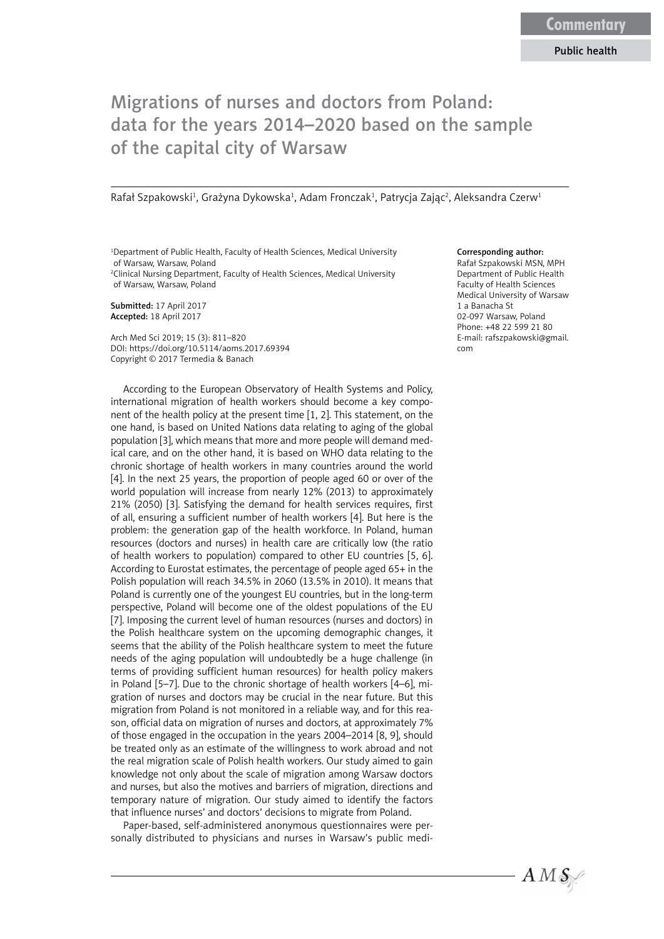## Migrations of nurses and doctors from Poland: data for the years 2014–2020 based on the sample of the capital city of Warsaw

Rafał Szpakowski<sup>1</sup>, Grażyna Dykowska<sup>1</sup>, Adam Fronczak<sup>1</sup>, Patrycja Zając<sup>2</sup>, Aleksandra Czerw<sup>1</sup>

<sup>1</sup>Department of Public Health, Faculty of Health Sciences, Medical University of Warsaw, Warsaw, Poland 2 Clinical Nursing Department, Faculty of Health Sciences, Medical University of Warsaw, Warsaw, Poland

Submitted: 17 April 2017 Accepted: 18 April 2017

Arch Med Sci 2019; 15 (3): 811–820 DOI: https://doi.org/10.5114/aoms.2017.69394 Copyright © 2017 Termedia & Banach

According to the European Observatory of Health Systems and Policy, international migration of health workers should become a key component of the health policy at the present time [1, 2]. This statement, on the one hand, is based on United Nations data relating to aging of the global population [3], which means that more and more people will demand medical care, and on the other hand, it is based on WHO data relating to the chronic shortage of health workers in many countries around the world [4]. In the next 25 years, the proportion of people aged 60 or over of the world population will increase from nearly 12% (2013) to approximately 21% (2050) [3]. Satisfying the demand for health services requires, first of all, ensuring a sufficient number of health workers [4]. But here is the problem: the generation gap of the health workforce. In Poland, human resources (doctors and nurses) in health care are critically low (the ratio of health workers to population) compared to other EU countries [5, 6]. According to Eurostat estimates, the percentage of people aged 65+ in the Polish population will reach 34.5% in 2060 (13.5% in 2010). It means that Poland is currently one of the youngest EU countries, but in the long-term perspective, Poland will become one of the oldest populations of the EU [7]. Imposing the current level of human resources (nurses and doctors) in the Polish healthcare system on the upcoming demographic changes, it seems that the ability of the Polish healthcare system to meet the future needs of the aging population will undoubtedly be a huge challenge (in terms of providing sufficient human resources) for health policy makers in Poland [5–7]. Due to the chronic shortage of health workers [4–6], migration of nurses and doctors may be crucial in the near future. But this migration from Poland is not monitored in a reliable way, and for this reason, official data on migration of nurses and doctors, at approximately 7% of those engaged in the occupation in the years 2004–2014 [8, 9], should be treated only as an estimate of the willingness to work abroad and not the real migration scale of Polish health workers. Our study aimed to gain knowledge not only about the scale of migration among Warsaw doctors and nurses, but also the motives and barriers of migration, directions and temporary nature of migration. Our study aimed to identify the factors that influence nurses' and doctors' decisions to migrate from Poland.

Paper-based, self-administered anonymous questionnaires were personally distributed to physicians and nurses in Warsaw's public medi-

## Corresponding author:

Rafał Szpakowski MSN, MPH Department of Public Health Faculty of Health Sciences Medical University of Warsaw 1 a Banacha St 02-097 Warsaw, Poland Phone: +48 22 599 21 80 E-mail: rafszpakowski@gmail. com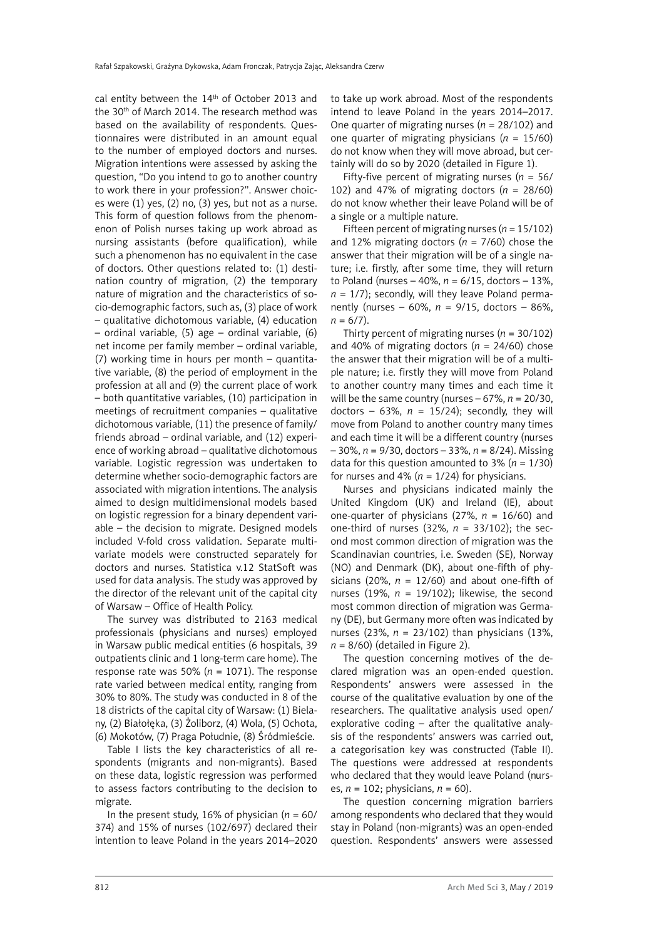cal entity between the 14<sup>th</sup> of October 2013 and the 30<sup>th</sup> of March 2014. The research method was based on the availability of respondents. Questionnaires were distributed in an amount equal to the number of employed doctors and nurses. Migration intentions were assessed by asking the question, "Do you intend to go to another country to work there in your profession?". Answer choices were (1) yes, (2) no, (3) yes, but not as a nurse. This form of question follows from the phenomenon of Polish nurses taking up work abroad as nursing assistants (before qualification), while such a phenomenon has no equivalent in the case of doctors. Other questions related to: (1) destination country of migration, (2) the temporary nature of migration and the characteristics of socio-demographic factors, such as, (3) place of work – qualitative dichotomous variable, (4) education – ordinal variable, (5) age – ordinal variable, (6) net income per family member – ordinal variable, (7) working time in hours per month – quantitative variable, (8) the period of employment in the profession at all and (9) the current place of work – both quantitative variables, (10) participation in meetings of recruitment companies – qualitative dichotomous variable, (11) the presence of family/ friends abroad – ordinal variable, and (12) experience of working abroad – qualitative dichotomous variable. Logistic regression was undertaken to determine whether socio-demographic factors are associated with migration intentions. The analysis aimed to design multidimensional models based on logistic regression for a binary dependent variable – the decision to migrate. Designed models included V-fold cross validation. Separate multivariate models were constructed separately for doctors and nurses. Statistica v.12 StatSoft was used for data analysis. The study was approved by the director of the relevant unit of the capital city of Warsaw – Office of Health Policy.

The survey was distributed to 2163 medical professionals (physicians and nurses) employed in Warsaw public medical entities (6 hospitals, 39 outpatients clinic and 1 long-term care home). The response rate was 50% ( $n = 1071$ ). The response rate varied between medical entity, ranging from 30% to 80%. The study was conducted in 8 of the 18 districts of the capital city of Warsaw: (1) Bielany, (2) Białołęka, (3) Żoliborz, (4) Wola, (5) Ochota, (6) Mokotów, (7) Praga Południe, (8) Śródmieście.

Table I lists the key characteristics of all respondents (migrants and non-migrants). Based on these data, logistic regression was performed to assess factors contributing to the decision to migrate.

In the present study, 16% of physician (*n* = 60/ 374) and 15% of nurses (102/697) declared their intention to leave Poland in the years 2014–2020 to take up work abroad. Most of the respondents intend to leave Poland in the years 2014–2017. One quarter of migrating nurses (*n* = 28/102) and one quarter of migrating physicians (*n* = 15/60) do not know when they will move abroad, but certainly will do so by 2020 (detailed in Figure 1).

Fifty-five percent of migrating nurses (*n* = 56/ 102) and 47% of migrating doctors (*n* = 28/60) do not know whether their leave Poland will be of a single or a multiple nature.

Fifteen percent of migrating nurses  $(n = 15/102)$ and 12% migrating doctors (*n* = 7/60) chose the answer that their migration will be of a single nature; i.e. firstly, after some time, they will return to Poland (nurses – 40%, *n* = 6/15, doctors – 13%,  $n = 1/7$ ); secondly, will they leave Poland permanently (nurses – 60%, *n* = 9/15, doctors – 86%,  $n = 6/7$ .

Thirty percent of migrating nurses  $(n = 30/102)$ and 40% of migrating doctors (*n* = 24/60) chose the answer that their migration will be of a multiple nature; i.e. firstly they will move from Poland to another country many times and each time it will be the same country (nurses – 67%, *n* = 20/30, doctors – 63%,  $n = 15/24$ ; secondly, they will move from Poland to another country many times and each time it will be a different country (nurses – 30%, *n* = 9/30, doctors – 33%, *n* = 8/24). Missing data for this question amounted to  $3\%$  ( $n = 1/30$ ) for nurses and 4% ( $n = 1/24$ ) for physicians.

Nurses and physicians indicated mainly the United Kingdom (UK) and Ireland (IE), about one-quarter of physicians (27%, *n* = 16/60) and one-third of nurses (32%, *n* = 33/102); the second most common direction of migration was the Scandinavian countries, i.e. Sweden (SE), Norway (NO) and Denmark (DK), about one-fifth of physicians (20%,  $n = 12/60$ ) and about one-fifth of nurses (19%,  $n = 19/102$ ); likewise, the second most common direction of migration was Germany (DE), but Germany more often was indicated by nurses (23%, *n* = 23/102) than physicians (13%,  $n = 8/60$ ) (detailed in Figure 2).

The question concerning motives of the declared migration was an open-ended question. Respondents' answers were assessed in the course of the qualitative evaluation by one of the researchers. The qualitative analysis used open/ explorative coding – after the qualitative analysis of the respondents' answers was carried out, a categorisation key was constructed (Table II). The questions were addressed at respondents who declared that they would leave Poland (nurses, *n* = 102; physicians, *n* = 60).

The question concerning migration barriers among respondents who declared that they would stay in Poland (non-migrants) was an open-ended question. Respondents' answers were assessed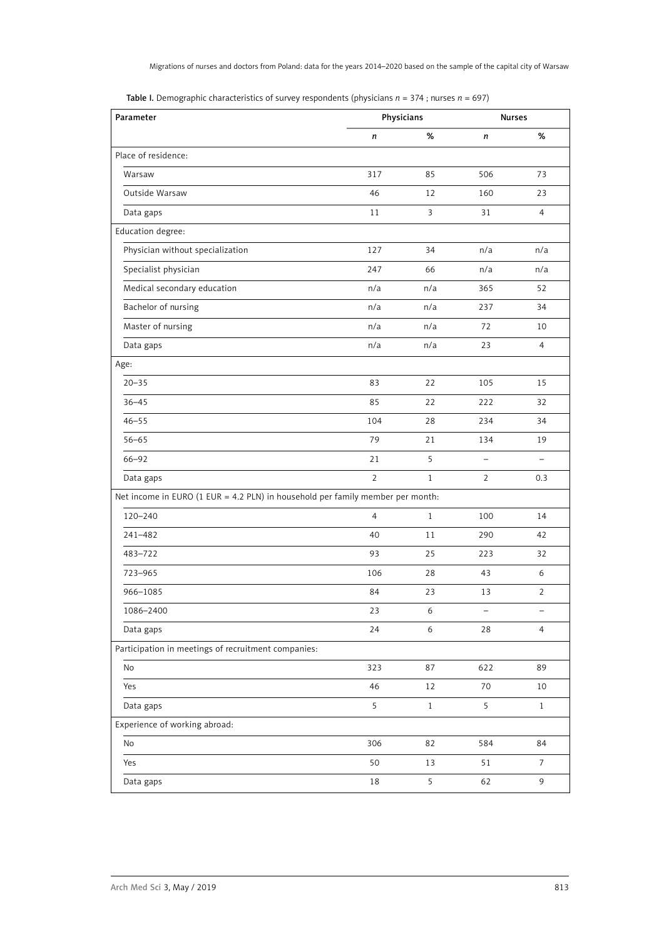| Parameter                                                                      | Physicians     |              |                          | <b>Nurses</b>     |  |
|--------------------------------------------------------------------------------|----------------|--------------|--------------------------|-------------------|--|
|                                                                                | n              | $\%$         | n                        | $\%$              |  |
| Place of residence:                                                            |                |              |                          |                   |  |
| Warsaw                                                                         | 317            | 85           | 506                      | 73                |  |
| Outside Warsaw                                                                 | 46             | 12           | 160                      | 23                |  |
| Data gaps                                                                      | 11             | 3            | 31                       | 4                 |  |
| Education degree:                                                              |                |              |                          |                   |  |
| Physician without specialization                                               | 127            | 34           | n/a                      | n/a               |  |
| Specialist physician                                                           | 247            | 66           | n/a                      | n/a               |  |
| Medical secondary education                                                    | n/a            | n/a          | 365                      | 52                |  |
| Bachelor of nursing                                                            | n/a            | n/a          | 237                      | 34                |  |
| Master of nursing                                                              | n/a            | n/a          | 72                       | 10                |  |
| Data gaps                                                                      | n/a            | n/a          | 23                       | $\overline{4}$    |  |
| Age:                                                                           |                |              |                          |                   |  |
| $20 - 35$                                                                      | 83             | 22           | 105                      | 15                |  |
| $36 - 45$                                                                      | 85             | 22           | 222                      | 32                |  |
| $46 - 55$                                                                      | 104            | 28           | 234                      | 34                |  |
| $56 - 65$                                                                      | 79             | 21           | 134                      | 19                |  |
| 66-92                                                                          | 21             | 5            | $\overline{\phantom{0}}$ | $\qquad \qquad -$ |  |
| Data gaps                                                                      | $\overline{2}$ | $\mathbf{1}$ | 2                        | 0.3               |  |
| Net income in EURO (1 EUR = 4.2 PLN) in household per family member per month: |                |              |                          |                   |  |
| 120-240                                                                        | $\overline{4}$ | $\mathbf{1}$ | 100                      | 14                |  |
| 241-482                                                                        | 40             | 11           | 290                      | 42                |  |
| 483-722                                                                        | 93             | 25           | 223                      | 32                |  |
| 723-965                                                                        | 106            | 28           | 43                       | 6                 |  |
| 966-1085                                                                       | 84             | 23           | 13                       | $\overline{2}$    |  |
| 1086-2400                                                                      | 23             | 6            |                          |                   |  |
| Data gaps                                                                      | 24             | 6            | 28                       | $\overline{4}$    |  |
| Participation in meetings of recruitment companies:                            |                |              |                          |                   |  |
| No                                                                             | 323            | 87           | 622                      | 89                |  |
| Yes                                                                            | 46             | 12           | 70                       | 10                |  |
| Data gaps                                                                      | 5              | $1\,$        | 5                        | $\mathbf{1}$      |  |
| Experience of working abroad:                                                  |                |              |                          |                   |  |
| No                                                                             | 306            | 82           | 584                      | 84                |  |
| Yes                                                                            | 50             | 13           | 51                       | $\boldsymbol{7}$  |  |
| Data gaps                                                                      | 18             | 5            | 62                       | 9                 |  |

Table I. Demographic characteristics of survey respondents (physicians *n* = 374 ; nurses *n* = 697)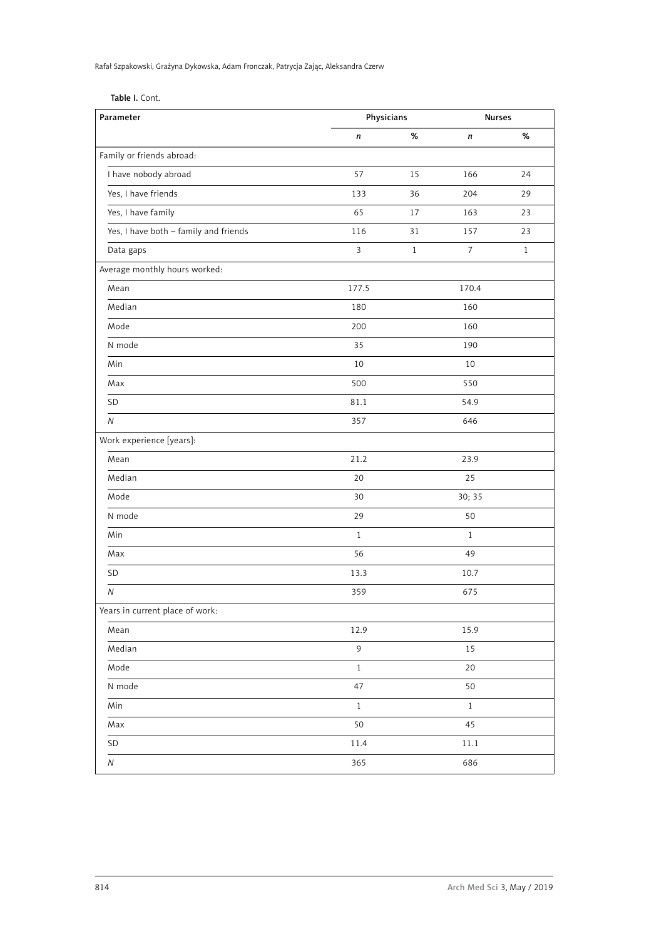Rafał Szpakowski, Grażyna Dykowska, Adam Fronczak, Patrycja Zając, Aleksandra Czerw

| Table I. Cont. |  |  |
|----------------|--|--|
|                |  |  |

| Parameter                             | Physicians     |              | <b>Nurses</b>    |              |
|---------------------------------------|----------------|--------------|------------------|--------------|
|                                       | n              | $\%$         | n                | $\%$         |
| Family or friends abroad:             |                |              |                  |              |
| I have nobody abroad                  | 57             | 15           | 166              | 24           |
| Yes, I have friends                   | 133            | 36           | 204              | 29           |
| Yes, I have family                    | 65             | 17           | 163              | 23           |
| Yes, I have both - family and friends | 116            | 31           | 157              | 23           |
| Data gaps                             | $\overline{3}$ | $\mathbf{1}$ | $\boldsymbol{7}$ | $\mathbf{1}$ |
| Average monthly hours worked:         |                |              |                  |              |
| Mean                                  | 177.5          |              | 170.4            |              |
| Median                                | 180            |              | 160              |              |
| Mode                                  | 200            |              | 160              |              |
| N mode                                | 35             |              | 190              |              |
| Min                                   | $10\,$         |              | 10               |              |
| Max                                   | 500            |              | 550              |              |
| SD                                    | 81.1           |              | 54.9             |              |
| $\overline{N}$                        | 357            |              | 646              |              |
| Work experience [years]:              |                |              |                  |              |
| Mean                                  | 21.2           |              | 23.9             |              |
| Median                                | 20             |              | 25               |              |
| Mode                                  | 30             |              | 30; 35           |              |
| N mode                                | 29             |              | 50               |              |
| Min                                   | $\mathbf{1}$   |              | $\mathbf{1}$     |              |
| Max                                   | 56             |              | 49               |              |
| SD                                    | 13.3           |              | 10.7             |              |
| Ν                                     | 359            |              | 675              |              |
| Years in current place of work:       |                |              |                  |              |
| Mean                                  | 12.9           |              | 15.9             |              |
| Median                                | 9              |              | 15               |              |
| Mode                                  | $\mathbf{1}$   |              | 20               |              |
| N mode                                | 47             |              | 50               |              |
| Min                                   | $\,1$          |              | $\,1$            |              |
| Max                                   | 50             |              | 45               |              |
| SD                                    | $11.4\,$       |              | 11.1             |              |
| ${\cal N}$                            | 365            |              | 686              |              |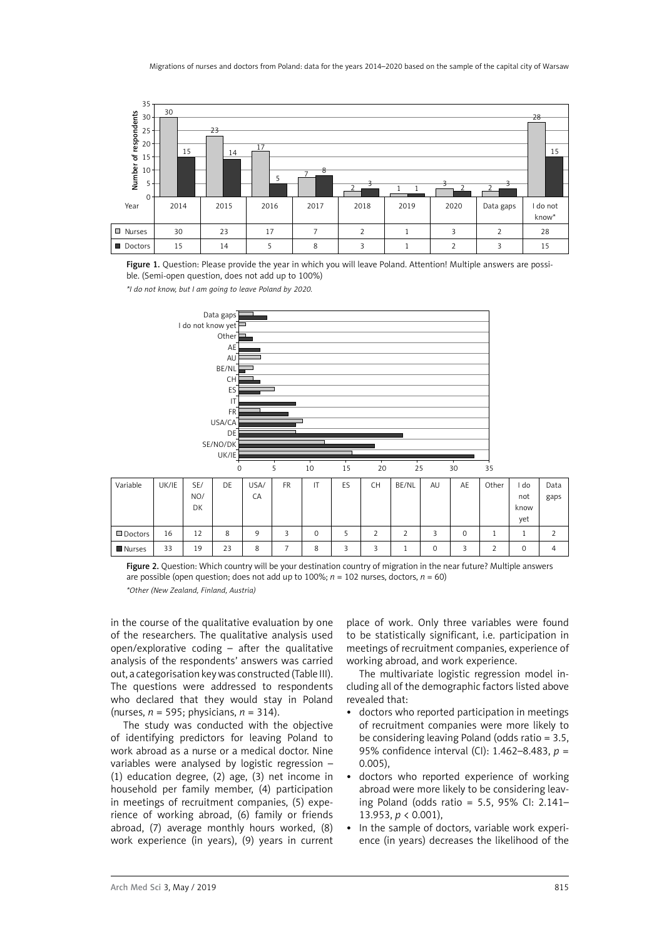

Figure 1. Question: Please provide the year in which you will leave Poland. Attention! Multiple answers are possible. (Semi-open question, does not add up to 100%)



Figure 2. Question: Which country will be your destination country of migration in the near future? Multiple answers are possible (open question; does not add up to 100%; *n* = 102 nurses, doctors, *n* = 60) *\*Other (New Zealand, Finland, Austria)*

in the course of the qualitative evaluation by one of the researchers. The qualitative analysis used open/explorative coding – after the qualitative analysis of the respondents' answers was carried out, a categorisation key was constructed (Table III). The questions were addressed to respondents who declared that they would stay in Poland (nurses, *n* = 595; physicians, *n* = 314).

The study was conducted with the objective of identifying predictors for leaving Poland to work abroad as a nurse or a medical doctor. Nine variables were analysed by logistic regression – (1) education degree, (2) age, (3) net income in household per family member, (4) participation in meetings of recruitment companies, (5) experience of working abroad, (6) family or friends abroad, (7) average monthly hours worked, (8) work experience (in years), (9) years in current

place of work. Only three variables were found to be statistically significant, i.e. participation in meetings of recruitment companies, experience of working abroad, and work experience.

The multivariate logistic regression model including all of the demographic factors listed above revealed that:

- • doctors who reported participation in meetings of recruitment companies were more likely to be considering leaving Poland (odds ratio = 3.5, 95% confidence interval (CI): 1.462–8.483, *p* = 0.005),
- doctors who reported experience of working abroad were more likely to be considering leaving Poland (odds ratio = 5.5, 95% CI: 2.141– 13.953, *p* < 0.001),
- In the sample of doctors, variable work experience (in years) decreases the likelihood of the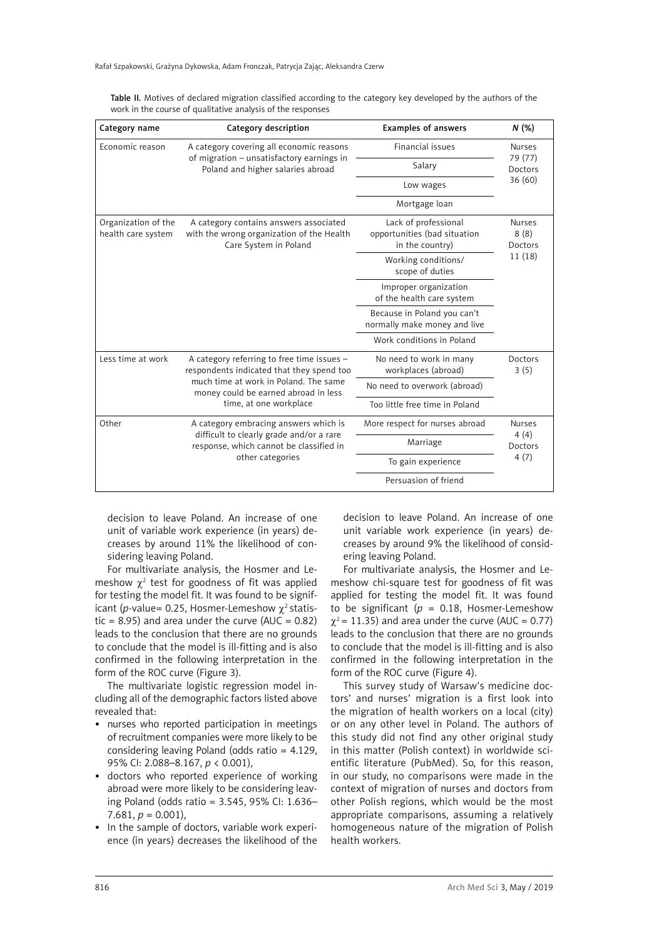| Category name                             | Category description                                                                                                         | <b>Examples of answers</b>                                              | N(%)                                        |  |
|-------------------------------------------|------------------------------------------------------------------------------------------------------------------------------|-------------------------------------------------------------------------|---------------------------------------------|--|
| Economic reason                           | A category covering all economic reasons                                                                                     | <b>Financial issues</b>                                                 | <b>Nurses</b>                               |  |
|                                           | of migration - unsatisfactory earnings in<br>Poland and higher salaries abroad                                               | Salary                                                                  | 79 (77)<br>Doctors                          |  |
|                                           |                                                                                                                              | Low wages                                                               | 36(60)                                      |  |
|                                           |                                                                                                                              | Mortgage loan                                                           |                                             |  |
| Organization of the<br>health care system | A category contains answers associated<br>with the wrong organization of the Health<br>Care System in Poland                 | Lack of professional<br>opportunities (bad situation<br>in the country) | <b>Nurses</b><br>8(8)<br>Doctors<br>11 (18) |  |
|                                           |                                                                                                                              | Working conditions/<br>scope of duties                                  |                                             |  |
|                                           |                                                                                                                              | Improper organization<br>of the health care system                      |                                             |  |
|                                           |                                                                                                                              | Because in Poland you can't<br>normally make money and live             |                                             |  |
|                                           |                                                                                                                              | Work conditions in Poland                                               |                                             |  |
| Less time at work                         | A category referring to free time issues -<br>respondents indicated that they spend too                                      | No need to work in many<br>workplaces (abroad)                          | Doctors<br>3(5)                             |  |
|                                           | much time at work in Poland. The same<br>money could be earned abroad in less                                                | No need to overwork (abroad)                                            |                                             |  |
|                                           | time, at one workplace                                                                                                       | Too little free time in Poland                                          |                                             |  |
| Other                                     | A category embracing answers which is<br>difficult to clearly grade and/or a rare<br>response, which cannot be classified in | More respect for nurses abroad                                          | <b>Nurses</b><br>4(4)<br>Doctors            |  |
|                                           |                                                                                                                              | Marriage                                                                |                                             |  |
|                                           | other categories                                                                                                             | To gain experience                                                      | 4(7)                                        |  |
|                                           |                                                                                                                              | Persuasion of friend                                                    |                                             |  |

Table II. Motives of declared migration classified according to the category key developed by the authors of the work in the course of qualitative analysis of the responses

decision to leave Poland. An increase of one unit of variable work experience (in years) decreases by around 11% the likelihood of considering leaving Poland.

For multivariate analysis, the Hosmer and Lemeshow  $\chi^2$  test for goodness of fit was applied for testing the model fit. It was found to be significant (*p*-value= 0.25, Hosmer-Lemeshow  $\chi^2$  statistic = 8.95) and area under the curve (AUC =  $0.82$ ) leads to the conclusion that there are no grounds to conclude that the model is ill-fitting and is also confirmed in the following interpretation in the form of the ROC curve (Figure 3).

The multivariate logistic regression model including all of the demographic factors listed above revealed that:

- nurses who reported participation in meetings of recruitment companies were more likely to be considering leaving Poland (odds ratio = 4.129, 95% CI: 2.088–8.167, *p* < 0.001),
- doctors who reported experience of working abroad were more likely to be considering leaving Poland (odds ratio = 3.545, 95% CI: 1.636–  $7.681, p = 0.001$
- In the sample of doctors, variable work experience (in years) decreases the likelihood of the

decision to leave Poland. An increase of one unit variable work experience (in years) decreases by around 9% the likelihood of considering leaving Poland.

For multivariate analysis, the Hosmer and Lemeshow chi-square test for goodness of fit was applied for testing the model fit. It was found to be significant ( $p = 0.18$ , Hosmer-Lemeshow  $\chi^2$  = 11.35) and area under the curve (AUC = 0.77) leads to the conclusion that there are no grounds to conclude that the model is ill-fitting and is also confirmed in the following interpretation in the form of the ROC curve (Figure 4).

This survey study of Warsaw's medicine doctors' and nurses' migration is a first look into the migration of health workers on a local (city) or on any other level in Poland. The authors of this study did not find any other original study in this matter (Polish context) in worldwide scientific literature (PubMed). So, for this reason, in our study, no comparisons were made in the context of migration of nurses and doctors from other Polish regions, which would be the most appropriate comparisons, assuming a relatively homogeneous nature of the migration of Polish health workers.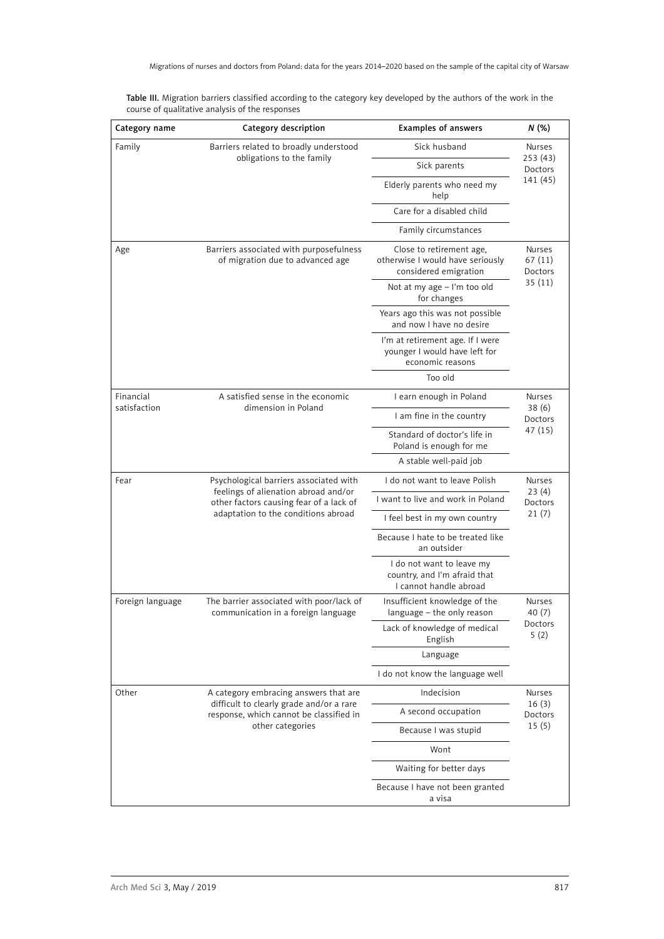| Table III. Migration barriers classified according to the category key developed by the authors of the work in the |  |
|--------------------------------------------------------------------------------------------------------------------|--|
| course of qualitative analysis of the responses                                                                    |  |

| Category name    | Category description                                                                                                                                             | <b>Examples of answers</b>                                                            |                                        |  |
|------------------|------------------------------------------------------------------------------------------------------------------------------------------------------------------|---------------------------------------------------------------------------------------|----------------------------------------|--|
| Family           | Barriers related to broadly understood                                                                                                                           | Sick husband                                                                          | Nurses                                 |  |
|                  | obligations to the family                                                                                                                                        | Sick parents                                                                          | 253(43)<br>Doctors<br>141 (45)         |  |
|                  |                                                                                                                                                                  | Elderly parents who need my<br>help                                                   |                                        |  |
|                  |                                                                                                                                                                  | Care for a disabled child                                                             |                                        |  |
|                  |                                                                                                                                                                  | Family circumstances                                                                  |                                        |  |
| Age              | Barriers associated with purposefulness<br>of migration due to advanced age                                                                                      | Close to retirement age,<br>otherwise I would have seriously<br>considered emigration | Nurses<br>67 (11)<br>Doctors<br>35(11) |  |
|                  |                                                                                                                                                                  | Not at my age - I'm too old<br>for changes                                            |                                        |  |
|                  |                                                                                                                                                                  | Years ago this was not possible<br>and now I have no desire                           |                                        |  |
|                  |                                                                                                                                                                  | I'm at retirement age. If I were<br>younger I would have left for<br>economic reasons |                                        |  |
|                  |                                                                                                                                                                  | Too old                                                                               |                                        |  |
| Financial        | A satisfied sense in the economic                                                                                                                                | I earn enough in Poland                                                               | <b>Nurses</b>                          |  |
| satisfaction     | dimension in Poland                                                                                                                                              | I am fine in the country                                                              | 38 (6)<br>Doctors                      |  |
|                  |                                                                                                                                                                  | Standard of doctor's life in<br>Poland is enough for me                               | 47 (15)                                |  |
|                  |                                                                                                                                                                  | A stable well-paid job                                                                |                                        |  |
| Fear             | Psychological barriers associated with<br>feelings of alienation abroad and/or<br>other factors causing fear of a lack of<br>adaptation to the conditions abroad | I do not want to leave Polish                                                         | <b>Nurses</b>                          |  |
|                  |                                                                                                                                                                  | I want to live and work in Poland                                                     | 23(4)<br>Doctors<br>21(7)              |  |
|                  |                                                                                                                                                                  | I feel best in my own country                                                         |                                        |  |
|                  |                                                                                                                                                                  | Because I hate to be treated like<br>an outsider                                      |                                        |  |
|                  |                                                                                                                                                                  | I do not want to leave my<br>country, and I'm afraid that<br>I cannot handle abroad   |                                        |  |
| Foreign language | The barrier associated with poor/lack of<br>communication in a foreign language                                                                                  | Insufficient knowledge of the<br>language - the only reason                           | <b>Nurses</b><br>40(7)                 |  |
|                  |                                                                                                                                                                  | Lack of knowledge of medical<br>English                                               | Doctors<br>5(2)                        |  |
|                  |                                                                                                                                                                  | Language                                                                              |                                        |  |
|                  |                                                                                                                                                                  | I do not know the language well                                                       |                                        |  |
| Other            | A category embracing answers that are                                                                                                                            | Indecision                                                                            | Nurses                                 |  |
|                  | difficult to clearly grade and/or a rare<br>response, which cannot be classified in<br>other categories                                                          | A second occupation                                                                   | 16(3)<br>Doctors<br>15(5)              |  |
|                  |                                                                                                                                                                  | Because I was stupid                                                                  |                                        |  |
|                  |                                                                                                                                                                  | Wont                                                                                  |                                        |  |
|                  |                                                                                                                                                                  | Waiting for better days                                                               |                                        |  |
|                  |                                                                                                                                                                  | Because I have not been granted<br>a visa                                             |                                        |  |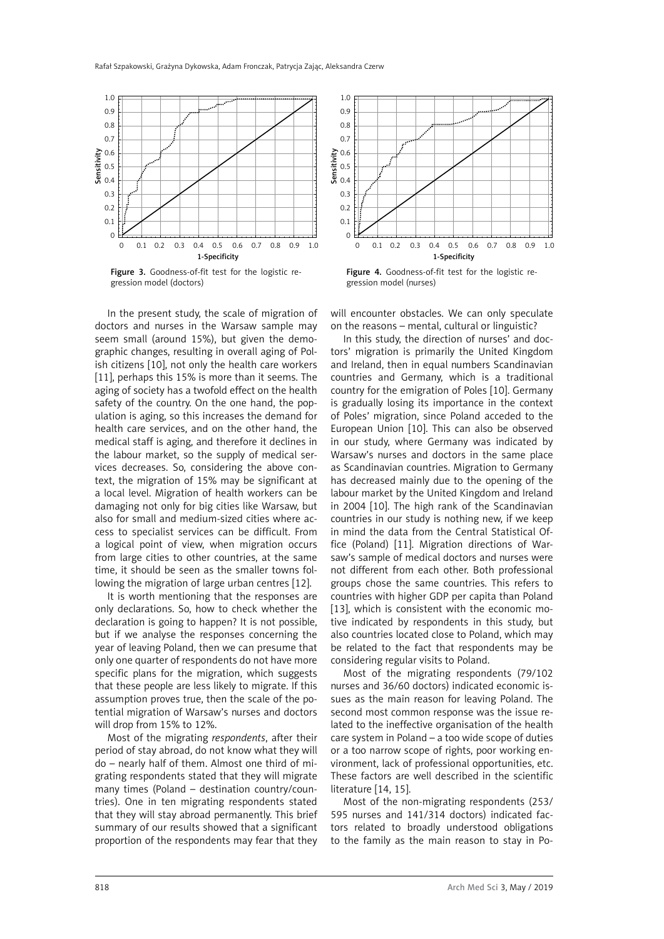

Figure 3. Goodness-of-fit test for the logistic regression model (doctors)

In the present study, the scale of migration of doctors and nurses in the Warsaw sample may seem small (around 15%), but given the demographic changes, resulting in overall aging of Polish citizens [10], not only the health care workers [11], perhaps this 15% is more than it seems. The aging of society has a twofold effect on the health safety of the country. On the one hand, the population is aging, so this increases the demand for health care services, and on the other hand, the medical staff is aging, and therefore it declines in the labour market, so the supply of medical services decreases. So, considering the above context, the migration of 15% may be significant at a local level. Migration of health workers can be damaging not only for big cities like Warsaw, but also for small and medium-sized cities where access to specialist services can be difficult. From a logical point of view, when migration occurs from large cities to other countries, at the same time, it should be seen as the smaller towns following the migration of large urban centres [12].

It is worth mentioning that the responses are only declarations. So, how to check whether the declaration is going to happen? It is not possible, but if we analyse the responses concerning the year of leaving Poland, then we can presume that only one quarter of respondents do not have more specific plans for the migration, which suggests that these people are less likely to migrate. If this assumption proves true, then the scale of the potential migration of Warsaw's nurses and doctors will drop from 15% to 12%.

Most of the migrating *respondents*, after their period of stay abroad, do not know what they will do – nearly half of them. Almost one third of migrating respondents stated that they will migrate many times (Poland – destination country/countries). One in ten migrating respondents stated that they will stay abroad permanently. This brief summary of our results showed that a significant proportion of the respondents may fear that they



Figure 4. Goodness-of-fit test for the logistic regression model (nurses)

will encounter obstacles. We can only speculate on the reasons – mental, cultural or linguistic?

In this study, the direction of nurses' and doctors' migration is primarily the United Kingdom and Ireland, then in equal numbers Scandinavian countries and Germany, which is a traditional country for the emigration of Poles [10]. Germany is gradually losing its importance in the context of Poles' migration, since Poland acceded to the European Union [10]. This can also be observed in our study, where Germany was indicated by Warsaw's nurses and doctors in the same place as Scandinavian countries. Migration to Germany has decreased mainly due to the opening of the labour market by the United Kingdom and Ireland in 2004 [10]. The high rank of the Scandinavian countries in our study is nothing new, if we keep in mind the data from the Central Statistical Office (Poland) [11]. Migration directions of Warsaw's sample of medical doctors and nurses were not different from each other. Both professional groups chose the same countries. This refers to countries with higher GDP per capita than Poland [13], which is consistent with the economic motive indicated by respondents in this study, but also countries located close to Poland, which may be related to the fact that respondents may be considering regular visits to Poland.

Most of the migrating respondents (79/102 nurses and 36/60 doctors) indicated economic issues as the main reason for leaving Poland. The second most common response was the issue related to the ineffective organisation of the health care system in Poland – a too wide scope of duties or a too narrow scope of rights, poor working environment, lack of professional opportunities, etc. These factors are well described in the scientific literature [14, 15].

Most of the non-migrating respondents (253/ 595 nurses and 141/314 doctors) indicated factors related to broadly understood obligations to the family as the main reason to stay in Po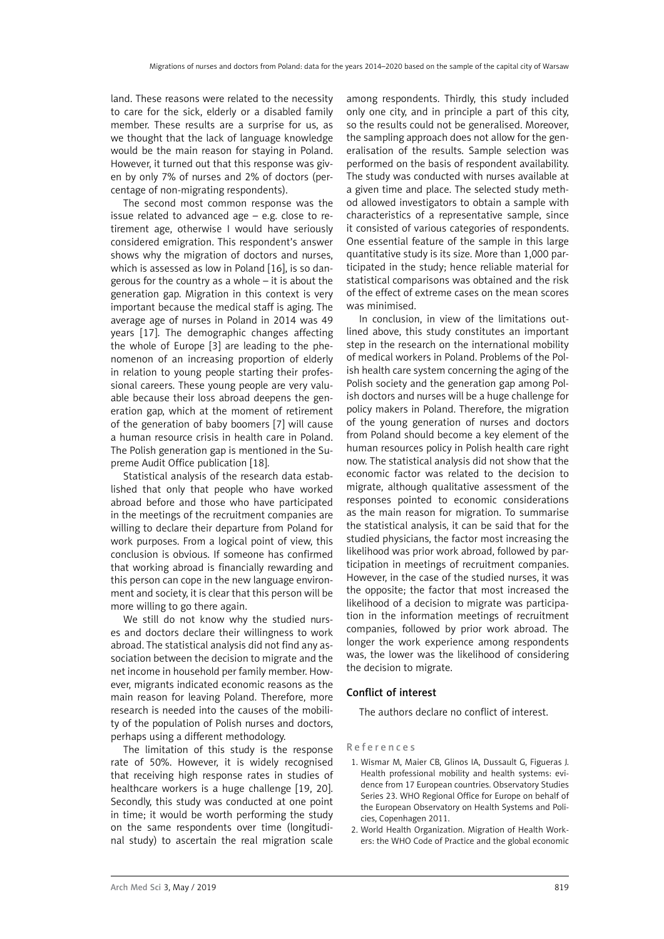land. These reasons were related to the necessity to care for the sick, elderly or a disabled family member. These results are a surprise for us, as we thought that the lack of language knowledge would be the main reason for staying in Poland. However, it turned out that this response was given by only 7% of nurses and 2% of doctors (percentage of non-migrating respondents).

The second most common response was the issue related to advanced age – e.g. close to retirement age, otherwise I would have seriously considered emigration. This respondent's answer shows why the migration of doctors and nurses, which is assessed as low in Poland [16], is so dangerous for the country as a whole – it is about the generation gap. Migration in this context is very important because the medical staff is aging. The average age of nurses in Poland in 2014 was 49 years [17]. The demographic changes affecting the whole of Europe [3] are leading to the phenomenon of an increasing proportion of elderly in relation to young people starting their professional careers. These young people are very valuable because their loss abroad deepens the generation gap, which at the moment of retirement of the generation of baby boomers [7] will cause a human resource crisis in health care in Poland. The Polish generation gap is mentioned in the Supreme Audit Office publication [18].

Statistical analysis of the research data established that only that people who have worked abroad before and those who have participated in the meetings of the recruitment companies are willing to declare their departure from Poland for work purposes. From a logical point of view, this conclusion is obvious. If someone has confirmed that working abroad is financially rewarding and this person can cope in the new language environment and society, it is clear that this person will be more willing to go there again.

We still do not know why the studied nurses and doctors declare their willingness to work abroad. The statistical analysis did not find any association between the decision to migrate and the net income in household per family member. However, migrants indicated economic reasons as the main reason for leaving Poland. Therefore, more research is needed into the causes of the mobility of the population of Polish nurses and doctors, perhaps using a different methodology.

The limitation of this study is the response rate of 50%. However, it is widely recognised that receiving high response rates in studies of healthcare workers is a huge challenge [19, 20]. Secondly, this study was conducted at one point in time; it would be worth performing the study on the same respondents over time (longitudinal study) to ascertain the real migration scale among respondents. Thirdly, this study included only one city, and in principle a part of this city, so the results could not be generalised. Moreover, the sampling approach does not allow for the generalisation of the results. Sample selection was performed on the basis of respondent availability. The study was conducted with nurses available at a given time and place. The selected study method allowed investigators to obtain a sample with characteristics of a representative sample, since it consisted of various categories of respondents. One essential feature of the sample in this large quantitative study is its size. More than 1,000 participated in the study; hence reliable material for statistical comparisons was obtained and the risk of the effect of extreme cases on the mean scores was minimised.

In conclusion, in view of the limitations outlined above, this study constitutes an important step in the research on the international mobility of medical workers in Poland. Problems of the Polish health care system concerning the aging of the Polish society and the generation gap among Polish doctors and nurses will be a huge challenge for policy makers in Poland. Therefore, the migration of the young generation of nurses and doctors from Poland should become a key element of the human resources policy in Polish health care right now. The statistical analysis did not show that the economic factor was related to the decision to migrate, although qualitative assessment of the responses pointed to economic considerations as the main reason for migration. To summarise the statistical analysis, it can be said that for the studied physicians, the factor most increasing the likelihood was prior work abroad, followed by participation in meetings of recruitment companies. However, in the case of the studied nurses, it was the opposite; the factor that most increased the likelihood of a decision to migrate was participation in the information meetings of recruitment companies, followed by prior work abroad. The longer the work experience among respondents was, the lower was the likelihood of considering the decision to migrate.

## Conflict of interest

The authors declare no conflict of interest.

## References

- 1. Wismar M, Maier CB, Glinos IA, Dussault G, Figueras J. Health professional mobility and health systems: evidence from 17 European countries. Observatory Studies Series 23. WHO Regional Office for Europe on behalf of the European Observatory on Health Systems and Policies, Copenhagen 2011.
- 2. World Health Organization. Migration of Health Workers: the WHO Code of Practice and the global economic